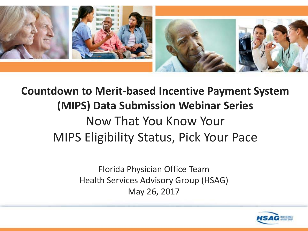

#### **Countdown to Merit-based Incentive Payment System (MIPS) Data Submission Webinar Series**  Now That You Know Your MIPS Eligibility Status, Pick Your Pace

Florida Physician Office Team Health Services Advisory Group (HSAG) May 26, 2017

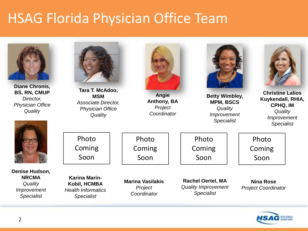### HSAG Florida Physician Office Team



**Diane Chronis, BS, RN, CMUP** *Director, Physician Office Quality*







**Karina Marin-Kobil, HCMBA** *Health Informatics Specialist*

**Marina Vasilakis** *Project Coordinator*

**Rachel Oertel, MA** *Quality Improvement Specialist*

Photo

Coming

Soon

**Betty Wimbley, MPM, BSCS** *Quality Improvement Specialist*

> **Nina Rose** *Project Coordinator*

Photo

Coming Soon



**Christine Lalios Kuykendall, RHIA, CPHQ, IM** *Quality Improvement Specialist*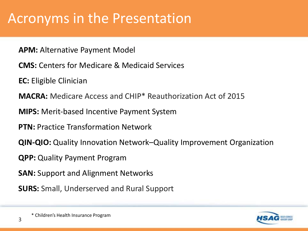#### Acronyms in the Presentation

- **APM:** Alternative Payment Model
- **CMS:** Centers for Medicare & Medicaid Services
- **EC:** Eligible Clinician
- **MACRA:** Medicare Access and CHIP\* Reauthorization Act of 2015
- **MIPS:** Merit-based Incentive Payment System
- **PTN:** Practice Transformation Network
- **QIN-QIO:** Quality Innovation Network–Quality Improvement Organization
- **QPP:** Quality Payment Program
- **SAN:** Support and Alignment Networks
- **SURS:** Small, Underserved and Rural Support

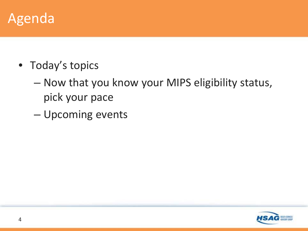#### Agenda

- Today's topics
	- Now that you know your MIPS eligibility status, pick your pace
	- Upcoming events

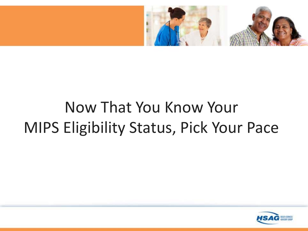

# Now That You Know Your MIPS Eligibility Status, Pick Your Pace

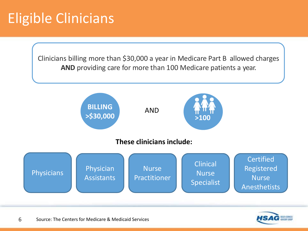### Eligible Clinicians

Clinicians billing more than \$30,000 a year in Medicare Part B allowed charges **AND** providing care for more than 100 Medicare patients a year.



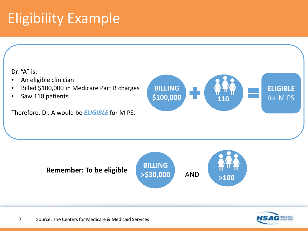### Eligibility Example



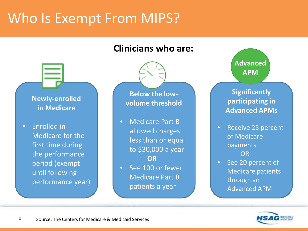### Who Is Exempt From MIPS?

#### **Clinicians who are:**

#### **Newly-enrolled in Medicare**

• Enrolled in Medicare for the first time during the performance period (exempt until following performance year)

**Below the lowvolume threshold**

- Medicare Part B allowed charges less than or equal to \$30,000 a year **OR**
- See 100 or fewer Medicare Part B patients a year

**Advanced APM**

**Significantly participating in Advanced APMs**

- Receive 25 percent of Medicare payments OR
- See 20 percent of Medicare patients through an Advanced APM

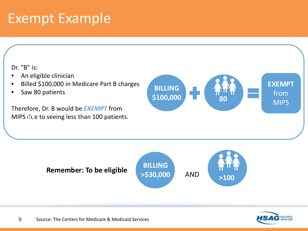#### Exempt Example

Dr. "B" is:

- An eligible clinician
- Billed \$100,000 in Medicare Part B charges
- Saw 80 patients

Therefore, Dr. B would be *EXEMPT* from **MIPS due to seeing less than 100 patients.** 





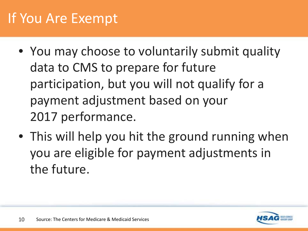- You may choose to voluntarily submit quality data to CMS to prepare for future participation, but you will not qualify for a payment adjustment based on your 2017 performance.
- This will help you hit the ground running when you are eligible for payment adjustments in the future.

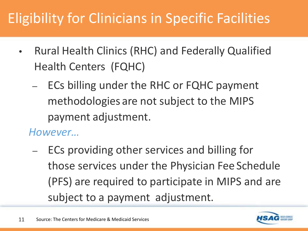## Eligibility for Clinicians in Specific Facilities

- Rural Health Clinics (RHC) and Federally Qualified Health Centers (FQHC)
	- ECs billing under the RHC or FQHC payment methodologies are not subject to the MIPS payment adjustment.

#### *However…*

– ECs providing other services and billing for those services under the Physician Fee Schedule (PFS) are required to participate in MIPS and are subject to a payment adjustment.



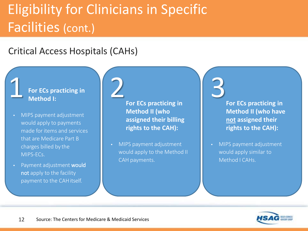## Eligibility for Clinicians in Specific Facilities (cont.)

#### Critical Access Hospitals (CAHs)

#### **For ECs practicing in Method I:**

1

- MIPS payment adjustment would apply to payments made for items and services that are Medicare Part B charges billed by the MIPS-ECs.
- Payment adjustment would not apply to the facility payment to the CAHitself.

**For ECs practicing in Method II (who assigned their billing rights to the CAH):**  2

• MIPS payment adjustment would apply to the Method II CAH payments.

**For ECs practicing in Method II (who have not assigned their rights to the CAH):** 3

• MIPS payment adjustment would apply similar to Method I CAHs.

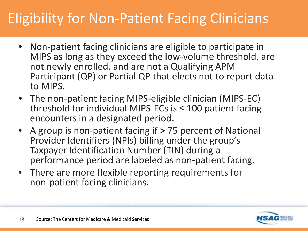## Eligibility for Non-Patient Facing Clinicians

- Non-patient facing clinicians are eligible to participate in MIPS as long as they exceed the low-volume threshold, are not newly enrolled, and are not a Qualifying APM Participant (QP) or Partial QP that elects not to report data to MIPS.
- The non-patient facing MIPS-eligible clinician (MIPS-EC) threshold for individual MIPS-ECs is  $\leq$  100 patient facing encounters in a designated period.
- A group is non-patient facing if > 75 percent of National Provider Identifiers (NPIs) billing under the group's Taxpayer Identification Number (TIN) during a performance period are labeled as non-patient facing.
- There are more flexible reporting requirements for non-patient facing clinicians.

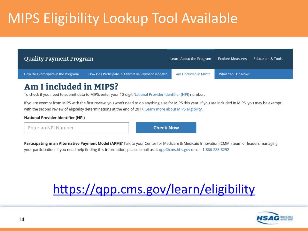## MIPS Eligibility Lookup Tool Available

| Quality Payment Program              |                                                     | Learn About the Program | <b>Explore Measures</b> | <b>Education &amp; Tools</b> |
|--------------------------------------|-----------------------------------------------------|-------------------------|-------------------------|------------------------------|
| How Do I Participate in the Program? | How Do I Participate in Alternative Payment Models? | Am I included in MIPS?  | What Can I Do Now?      |                              |

#### Am I included in MIPS?

To check if you need to submit data to MIPS, enter your 10-digit National Provider Identifier (NPI) number.

If you're exempt from MIPS with the first review, you won't need to do anything else for MIPS this year. If you are included in MIPS, you may be exempt with the second review of eligibility determinations at the end of 2017. Learn more about MIPS eligibility.

#### **National Provider Identifier (NPI)**

Enter an NPI Number

**Check Now** 

Participating in an Alternative Payment Model (APM)? Talk to your Center for Medicare & Medicaid Innovation (CMMI) team or leaders managing your participation. If you need help finding this information, please email us at qpp@cms.hhs.gov or call 1-866-288-8292

#### <https://qpp.cms.gov/learn/eligibility>

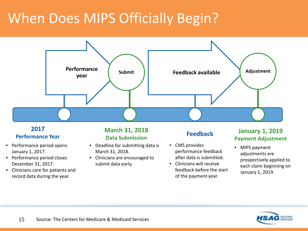## When Does MIPS Officially Begin?



#### **2017 Performance Year**

- Performance period opens January 1, 2017.
- Performance period closes December 31, 2017.
- Clinicians care for patients and record data during the year.

#### **March 31, 2018 Data Submission**

- Deadline for submitting data is March 31, 2018.
- Clinicians are encouraged to submit data early.

#### **Feedback**

- CMS provides performance feedback after data is submitted.
- Clinicians will receive feedback before the start of the payment year.

#### **January 1, 2019 Payment Adjustment**

• MIPS payment adjustments are prospectively applied to each claim beginning on January 1, 2019.

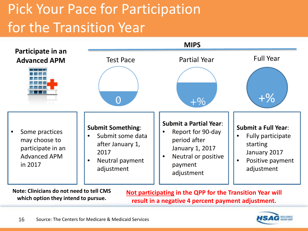# Pick Your Pace for Participation for the Transition Year



**Note: Clinicians do not need to tell CMS which option they intend to pursue.**

**Not participating in the QPP for the Transition Year will result in a negative 4 percent payment adjustment.**

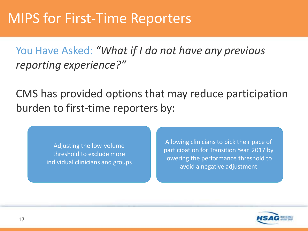You Have Asked: *"What if I do not have any previous reporting experience?"*

CMS has provided options that may reduce participation burden to first-time reporters by:

> Adjusting the low-volume threshold to exclude more individual clinicians and groups

Allowing clinicians to pick their pace of participation for Transition Year 2017 by lowering the performance threshold to avoid a negative adjustment

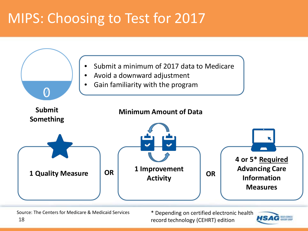## MIPS: Choosing to Test for 2017



record technology (CEHRT) edition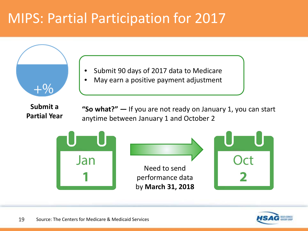### MIPS: Partial Participation for 2017



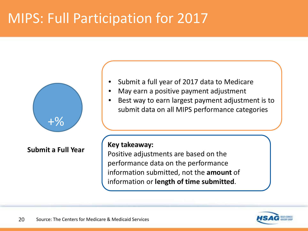### MIPS: Full Participation for 2017



**Submit a Full Year**

- Submit a full year of 2017 data to Medicare
- May earn a positive payment adjustment
- Best way to earn largest payment adjustment is to submit data on all MIPS performance categories

#### **Key takeaway:**

Positive adjustments are based on the performance data on the performance information submitted, not the **amount** of information or **length of time submitted**.

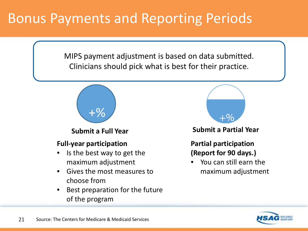### Bonus Payments and Reporting Periods

MIPS payment adjustment is based on data submitted. Clinicians should pick what is best for their practice.



**Submit a Full Year**

#### **Full-year participation**

- Is the best way to get the maximum adjustment
- Gives the most measures to choose from
- Best preparation for the future of the program



**Submit a Partial Year**

**Partial participation (Report for 90 days.)**

• You can still earn the maximum adjustment

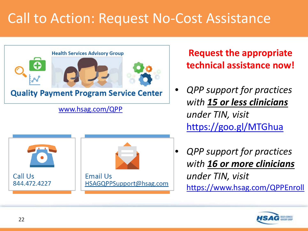## Call to Action: Request No-Cost Assistance



#### Call Us **Fmail Us** 844.472.4227 HSAGQPPSupport@hsag.com

#### **Request the appropriate technical assistance now!**

- *QPP support for practices with 15 or less clinicians under TIN, visit*  <https://goo.gl/MTGhua>
- *QPP support for practices with 16 or more clinicians under TIN, visit*  <https://www.hsag.com/QPPEnroll>

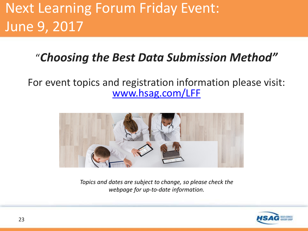# Next Learning Forum Friday Event: June 9, 2017

#### "*Choosing the Best Data Submission Method"*

For event topics and registration information please visit: [www.hsag.com/LFF](http://www.hsag.com/LFF)



*Topics and dates are subject to change, so please check the webpage for up-to-date information.*

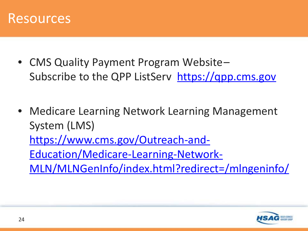

- CMS Quality Payment Program Website-Subscribe to the QPP ListServ [https://qpp.cms.gov](https://qpp.cms.gov/)
- Medicare Learning Network Learning Management System (LMS) https://www.cms.gov/Outreach-and-Education/Medicare-Learning-Network-[MLN/MLNGenInfo/index.html?redirect=/mlngeninfo/](https://www.cms.gov/Outreach-and-Education/Medicare-Learning-Network-MLN/MLNGenInfo/index.html?redirect=/mlngeninfo/)

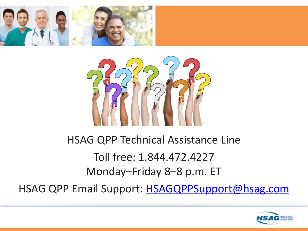



## HSAG QPP Technical Assistance Line Toll free: 1.844.472.4227 Monday–Friday 8–8 p.m. ET

HSAG QPP Email Support: [HSAGQPPSupport@hsag.com](mailto:HSAGQPPSupport@hsag.com)